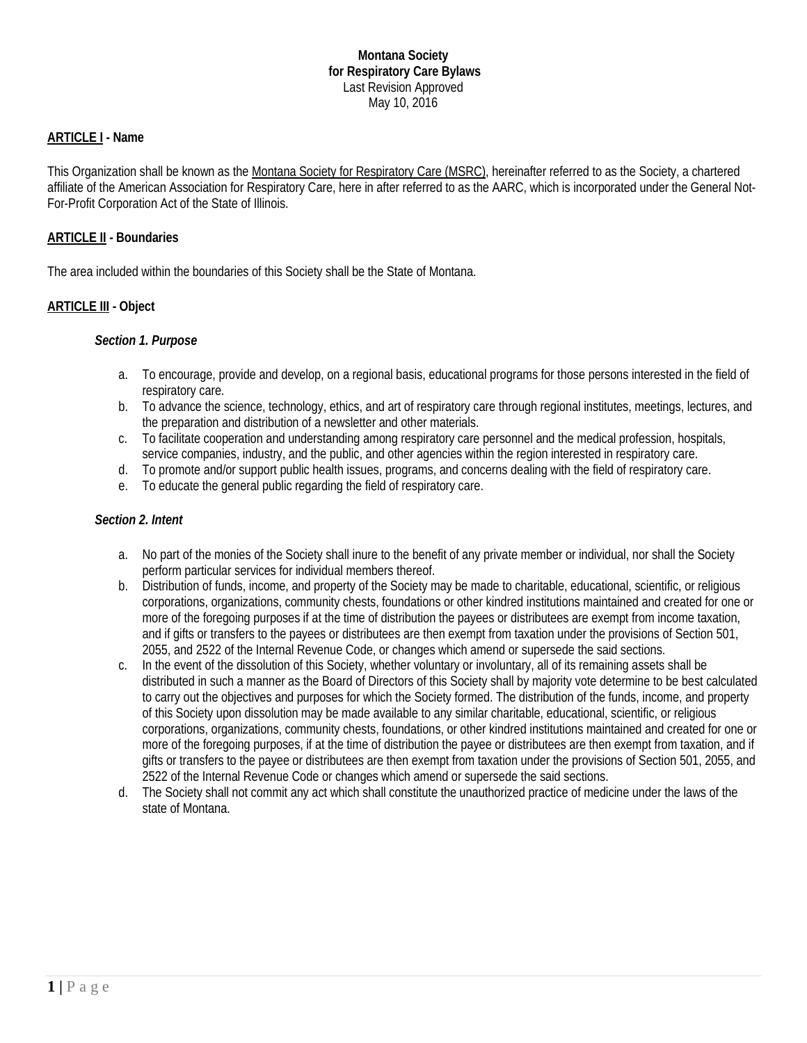## **ARTICLE I - Name**

This Organization shall be known as the Montana Society for Respiratory Care (MSRC), hereinafter referred to as the Society, a chartered affiliate of the American Association for Respiratory Care, here in after referred to as the AARC, which is incorporated under the General Not-For-Profit Corporation Act of the State of Illinois.

## **ARTICLE II - Boundaries**

The area included within the boundaries of this Society shall be the State of Montana.

## **ARTICLE III - Object**

## *Section 1. Purpose*

- a. To encourage, provide and develop, on a regional basis, educational programs for those persons interested in the field of respiratory care.
- b. To advance the science, technology, ethics, and art of respiratory care through regional institutes, meetings, lectures, and the preparation and distribution of a newsletter and other materials.
- c. To facilitate cooperation and understanding among respiratory care personnel and the medical profession, hospitals, service companies, industry, and the public, and other agencies within the region interested in respiratory care.
- d. To promote and/or support public health issues, programs, and concerns dealing with the field of respiratory care.
- e. To educate the general public regarding the field of respiratory care.

## *Section 2. Intent*

- a. No part of the monies of the Society shall inure to the benefit of any private member or individual, nor shall the Society perform particular services for individual members thereof.
- b. Distribution of funds, income, and property of the Society may be made to charitable, educational, scientific, or religious corporations, organizations, community chests, foundations or other kindred institutions maintained and created for one or more of the foregoing purposes if at the time of distribution the payees or distributees are exempt from income taxation, and if gifts or transfers to the payees or distributees are then exempt from taxation under the provisions of Section 501, 2055, and 2522 of the Internal Revenue Code, or changes which amend or supersede the said sections.
- c. In the event of the dissolution of this Society, whether voluntary or involuntary, all of its remaining assets shall be distributed in such a manner as the Board of Directors of this Society shall by majority vote determine to be best calculated to carry out the objectives and purposes for which the Society formed. The distribution of the funds, income, and property of this Society upon dissolution may be made available to any similar charitable, educational, scientific, or religious corporations, organizations, community chests, foundations, or other kindred institutions maintained and created for one or more of the foregoing purposes, if at the time of distribution the payee or distributees are then exempt from taxation, and if gifts or transfers to the payee or distributees are then exempt from taxation under the provisions of Section 501, 2055, and 2522 of the Internal Revenue Code or changes which amend or supersede the said sections.
- d. The Society shall not commit any act which shall constitute the unauthorized practice of medicine under the laws of the state of Montana.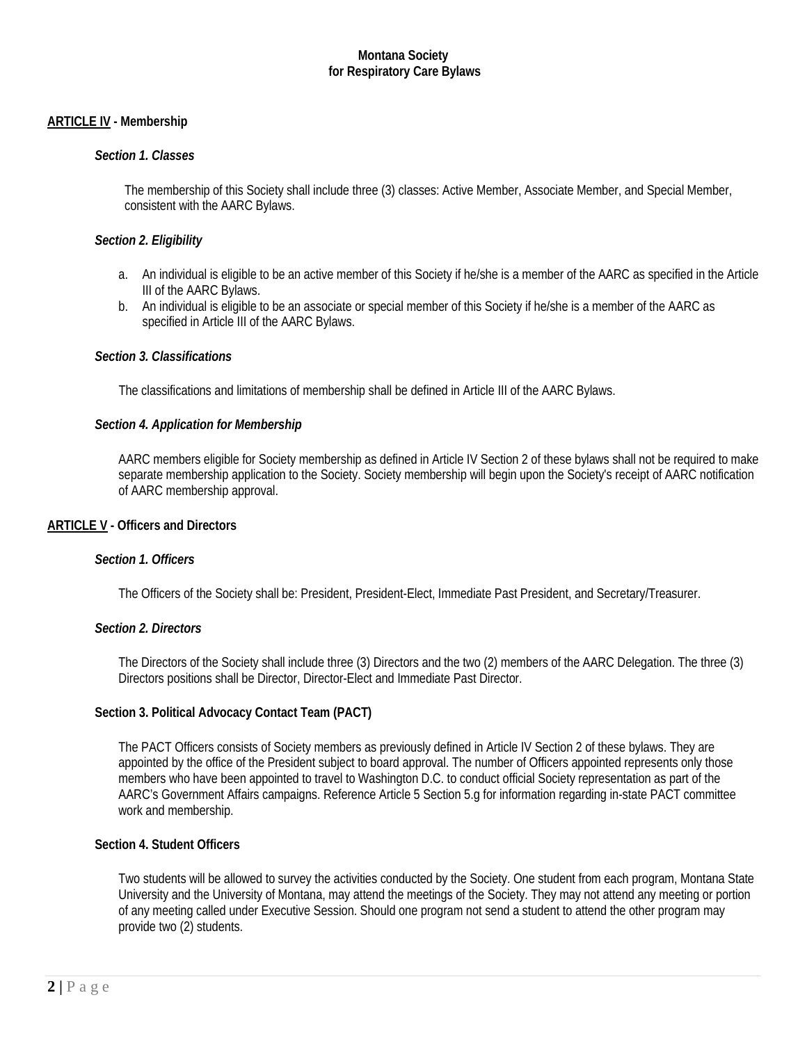## **ARTICLE IV - Membership**

### *Section 1. Classes*

The membership of this Society shall include three (3) classes: Active Member, Associate Member, and Special Member, consistent with the AARC Bylaws.

#### *Section 2. Eligibility*

- a. An individual is eligible to be an active member of this Society if he/she is a member of the AARC as specified in the Article III of the AARC Bylaws.
- b. An individual is eligible to be an associate or special member of this Society if he/she is a member of the AARC as specified in Article III of the AARC Bylaws.

#### *Section 3. Classifications*

The classifications and limitations of membership shall be defined in Article III of the AARC Bylaws.

#### *Section 4. Application for Membership*

AARC members eligible for Society membership as defined in Article IV Section 2 of these bylaws shall not be required to make separate membership application to the Society. Society membership will begin upon the Society's receipt of AARC notification of AARC membership approval.

#### **ARTICLE V - Officers and Directors**

#### *Section 1. Officers*

The Officers of the Society shall be: President, President-Elect, Immediate Past President, and Secretary/Treasurer.

#### *Section 2. Directors*

The Directors of the Society shall include three (3) Directors and the two (2) members of the AARC Delegation. The three (3) Directors positions shall be Director, Director-Elect and Immediate Past Director.

## **Section 3. Political Advocacy Contact Team (PACT)**

The PACT Officers consists of Society members as previously defined in Article IV Section 2 of these bylaws. They are appointed by the office of the President subject to board approval. The number of Officers appointed represents only those members who have been appointed to travel to Washington D.C. to conduct official Society representation as part of the AARC's Government Affairs campaigns. Reference Article 5 Section 5.g for information regarding in-state PACT committee work and membership.

#### **Section 4. Student Officers**

Two students will be allowed to survey the activities conducted by the Society. One student from each program, Montana State University and the University of Montana, may attend the meetings of the Society. They may not attend any meeting or portion of any meeting called under Executive Session. Should one program not send a student to attend the other program may provide two (2) students.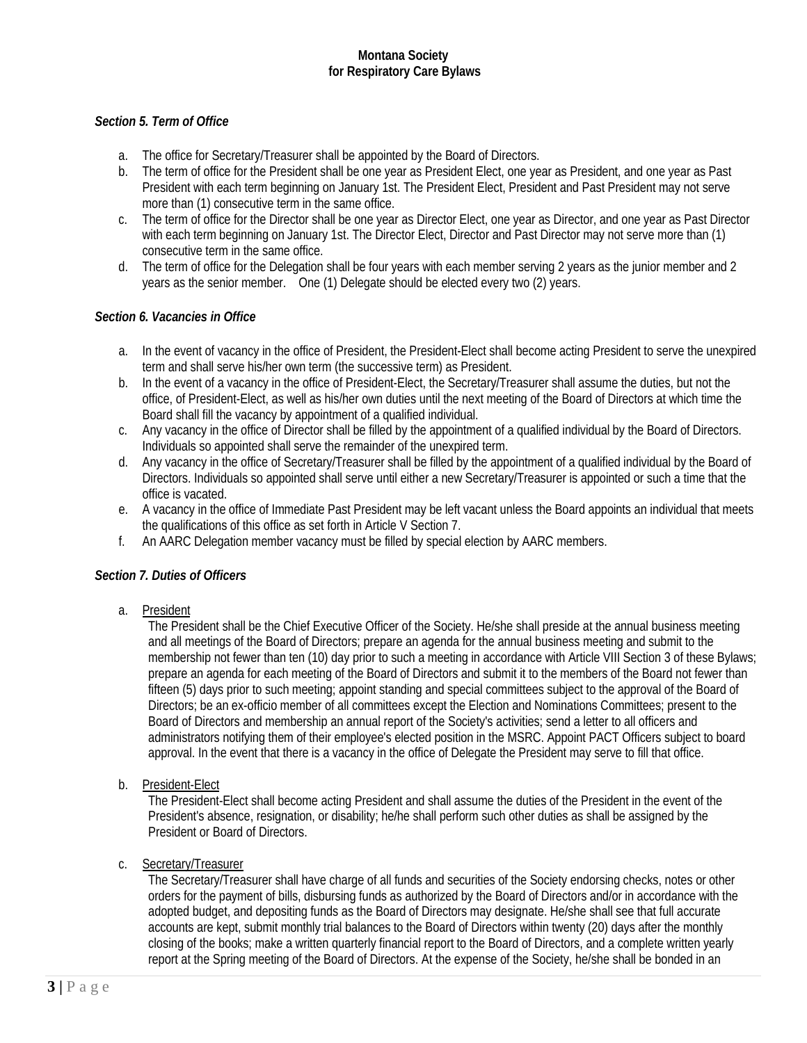## *Section 5. Term of Office*

- a. The office for Secretary/Treasurer shall be appointed by the Board of Directors.
- b. The term of office for the President shall be one year as President Elect, one year as President, and one year as Past President with each term beginning on January 1st. The President Elect, President and Past President may not serve more than (1) consecutive term in the same office.
- c. The term of office for the Director shall be one year as Director Elect, one year as Director, and one year as Past Director with each term beginning on January 1st. The Director Elect, Director and Past Director may not serve more than (1) consecutive term in the same office.
- d. The term of office for the Delegation shall be four years with each member serving 2 years as the junior member and 2 years as the senior member. One (1) Delegate should be elected every two (2) years.

## *Section 6. Vacancies in Office*

- a. In the event of vacancy in the office of President, the President-Elect shall become acting President to serve the unexpired term and shall serve his/her own term (the successive term) as President.
- b. In the event of a vacancy in the office of President-Elect, the Secretary/Treasurer shall assume the duties, but not the office, of President-Elect, as well as his/her own duties until the next meeting of the Board of Directors at which time the Board shall fill the vacancy by appointment of a qualified individual.
- c. Any vacancy in the office of Director shall be filled by the appointment of a qualified individual by the Board of Directors. Individuals so appointed shall serve the remainder of the unexpired term.
- d. Any vacancy in the office of Secretary/Treasurer shall be filled by the appointment of a qualified individual by the Board of Directors. Individuals so appointed shall serve until either a new Secretary/Treasurer is appointed or such a time that the office is vacated.
- e. A vacancy in the office of Immediate Past President may be left vacant unless the Board appoints an individual that meets the qualifications of this office as set forth in Article V Section 7.
- f. An AARC Delegation member vacancy must be filled by special election by AARC members.

## *Section 7. Duties of Officers*

a. President

The President shall be the Chief Executive Officer of the Society. He/she shall preside at the annual business meeting and all meetings of the Board of Directors; prepare an agenda for the annual business meeting and submit to the membership not fewer than ten (10) day prior to such a meeting in accordance with Article VIII Section 3 of these Bylaws; prepare an agenda for each meeting of the Board of Directors and submit it to the members of the Board not fewer than fifteen (5) days prior to such meeting; appoint standing and special committees subject to the approval of the Board of Directors; be an ex-officio member of all committees except the Election and Nominations Committees; present to the Board of Directors and membership an annual report of the Society's activities; send a letter to all officers and administrators notifying them of their employee's elected position in the MSRC. Appoint PACT Officers subject to board approval. In the event that there is a vacancy in the office of Delegate the President may serve to fill that office.

b. President-Elect

The President-Elect shall become acting President and shall assume the duties of the President in the event of the President's absence, resignation, or disability; he/he shall perform such other duties as shall be assigned by the President or Board of Directors.

## c. Secretary/Treasurer

The Secretary/Treasurer shall have charge of all funds and securities of the Society endorsing checks, notes or other orders for the payment of bills, disbursing funds as authorized by the Board of Directors and/or in accordance with the adopted budget, and depositing funds as the Board of Directors may designate. He/she shall see that full accurate accounts are kept, submit monthly trial balances to the Board of Directors within twenty (20) days after the monthly closing of the books; make a written quarterly financial report to the Board of Directors, and a complete written yearly report at the Spring meeting of the Board of Directors. At the expense of the Society, he/she shall be bonded in an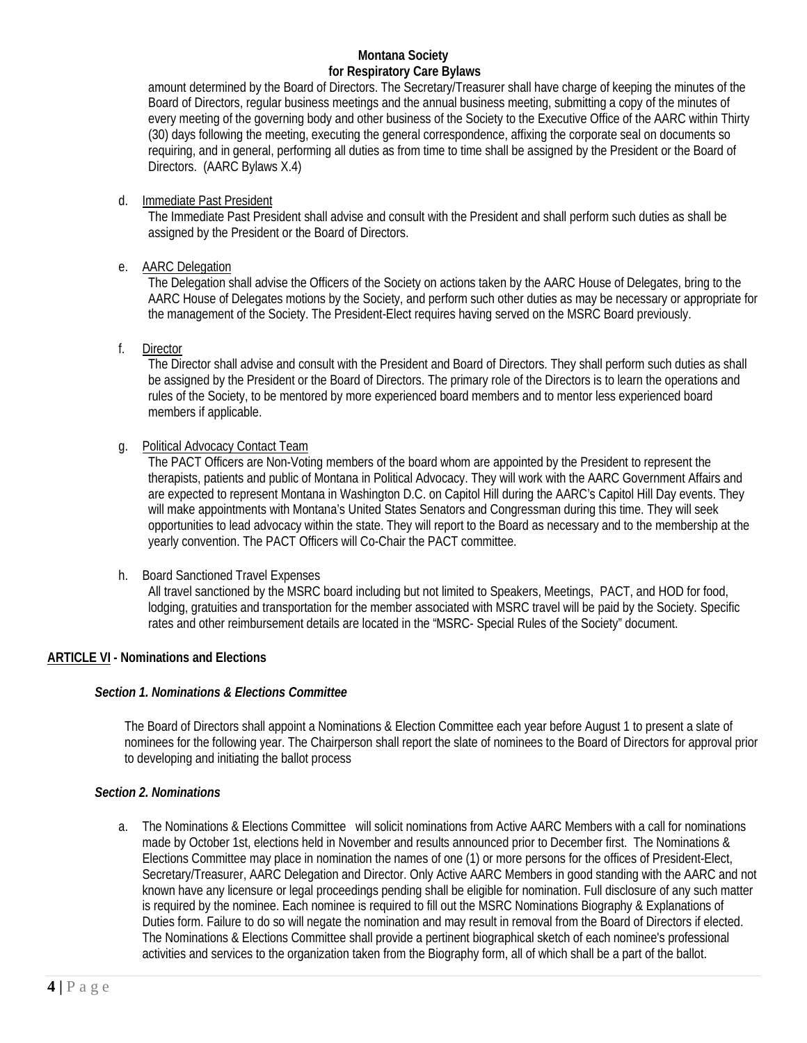amount determined by the Board of Directors. The Secretary/Treasurer shall have charge of keeping the minutes of the Board of Directors, regular business meetings and the annual business meeting, submitting a copy of the minutes of every meeting of the governing body and other business of the Society to the Executive Office of the AARC within Thirty (30) days following the meeting, executing the general correspondence, affixing the corporate seal on documents so requiring, and in general, performing all duties as from time to time shall be assigned by the President or the Board of Directors. (AARC Bylaws X.4)

## d. Immediate Past President

The Immediate Past President shall advise and consult with the President and shall perform such duties as shall be assigned by the President or the Board of Directors.

## e. AARC Delegation

The Delegation shall advise the Officers of the Society on actions taken by the AARC House of Delegates, bring to the AARC House of Delegates motions by the Society, and perform such other duties as may be necessary or appropriate for the management of the Society. The President-Elect requires having served on the MSRC Board previously.

## f. Director

The Director shall advise and consult with the President and Board of Directors. They shall perform such duties as shall be assigned by the President or the Board of Directors. The primary role of the Directors is to learn the operations and rules of the Society, to be mentored by more experienced board members and to mentor less experienced board members if applicable.

#### g. Political Advocacy Contact Team

The PACT Officers are Non-Voting members of the board whom are appointed by the President to represent the therapists, patients and public of Montana in Political Advocacy. They will work with the AARC Government Affairs and are expected to represent Montana in Washington D.C. on Capitol Hill during the AARC's Capitol Hill Day events. They will make appointments with Montana's United States Senators and Congressman during this time. They will seek opportunities to lead advocacy within the state. They will report to the Board as necessary and to the membership at the yearly convention. The PACT Officers will Co-Chair the PACT committee.

## h. Board Sanctioned Travel Expenses

All travel sanctioned by the MSRC board including but not limited to Speakers, Meetings, PACT, and HOD for food, lodging, gratuities and transportation for the member associated with MSRC travel will be paid by the Society. Specific rates and other reimbursement details are located in the "MSRC- Special Rules of the Society" document.

## **ARTICLE VI - Nominations and Elections**

## *Section 1. Nominations & Elections Committee*

The Board of Directors shall appoint a Nominations & Election Committee each year before August 1 to present a slate of nominees for the following year. The Chairperson shall report the slate of nominees to the Board of Directors for approval prior to developing and initiating the ballot process

## *Section 2. Nominations*

a. The Nominations & Elections Committee will solicit nominations from Active AARC Members with a call for nominations made by October 1st, elections held in November and results announced prior to December first. The Nominations & Elections Committee may place in nomination the names of one (1) or more persons for the offices of President-Elect, Secretary/Treasurer, AARC Delegation and Director. Only Active AARC Members in good standing with the AARC and not known have any licensure or legal proceedings pending shall be eligible for nomination. Full disclosure of any such matter is required by the nominee. Each nominee is required to fill out the MSRC Nominations Biography & Explanations of Duties form. Failure to do so will negate the nomination and may result in removal from the Board of Directors if elected. The Nominations & Elections Committee shall provide a pertinent biographical sketch of each nominee's professional activities and services to the organization taken from the Biography form, all of which shall be a part of the ballot.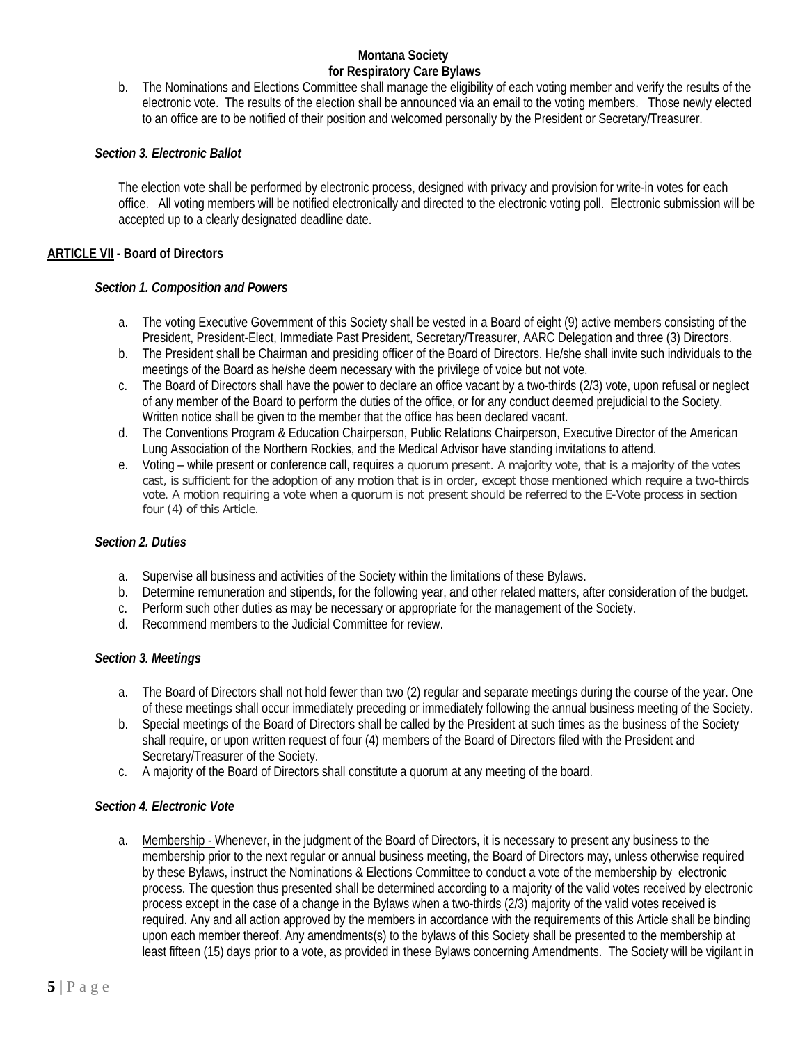b. The Nominations and Elections Committee shall manage the eligibility of each voting member and verify the results of the electronic vote. The results of the election shall be announced via an email to the voting members. Those newly elected to an office are to be notified of their position and welcomed personally by the President or Secretary/Treasurer.

## *Section 3. Electronic Ballot*

The election vote shall be performed by electronic process, designed with privacy and provision for write-in votes for each office. All voting members will be notified electronically and directed to the electronic voting poll. Electronic submission will be accepted up to a clearly designated deadline date.

## **ARTICLE VII - Board of Directors**

## *Section 1. Composition and Powers*

- a. The voting Executive Government of this Society shall be vested in a Board of eight (9) active members consisting of the President, President-Elect, Immediate Past President, Secretary/Treasurer, AARC Delegation and three (3) Directors.
- b. The President shall be Chairman and presiding officer of the Board of Directors. He/she shall invite such individuals to the meetings of the Board as he/she deem necessary with the privilege of voice but not vote.
- c. The Board of Directors shall have the power to declare an office vacant by a two-thirds (2/3) vote, upon refusal or neglect of any member of the Board to perform the duties of the office, or for any conduct deemed prejudicial to the Society. Written notice shall be given to the member that the office has been declared vacant.
- d. The Conventions Program & Education Chairperson, Public Relations Chairperson, Executive Director of the American Lung Association of the Northern Rockies, and the Medical Advisor have standing invitations to attend.
- e. Voting while present or conference call, requires a quorum present. A majority vote, that is a majority of the votes cast, is sufficient for the adoption of any motion that is in order, except those mentioned which require a two-thirds vote. A motion requiring a vote when a quorum is not present should be referred to the E-Vote process in section four (4) of this Article.

## *Section 2. Duties*

- a. Supervise all business and activities of the Society within the limitations of these Bylaws.
- b. Determine remuneration and stipends, for the following year, and other related matters, after consideration of the budget.
- c. Perform such other duties as may be necessary or appropriate for the management of the Society.
- d. Recommend members to the Judicial Committee for review.

#### *Section 3. Meetings*

- a. The Board of Directors shall not hold fewer than two (2) regular and separate meetings during the course of the year. One of these meetings shall occur immediately preceding or immediately following the annual business meeting of the Society.
- b. Special meetings of the Board of Directors shall be called by the President at such times as the business of the Society shall require, or upon written request of four (4) members of the Board of Directors filed with the President and Secretary/Treasurer of the Society.
- c. A majority of the Board of Directors shall constitute a quorum at any meeting of the board.

## *Section 4. Electronic Vote*

a. Membership - Whenever, in the judgment of the Board of Directors, it is necessary to present any business to the membership prior to the next regular or annual business meeting, the Board of Directors may, unless otherwise required by these Bylaws, instruct the Nominations & Elections Committee to conduct a vote of the membership by electronic process. The question thus presented shall be determined according to a majority of the valid votes received by electronic process except in the case of a change in the Bylaws when a two-thirds (2/3) majority of the valid votes received is required. Any and all action approved by the members in accordance with the requirements of this Article shall be binding upon each member thereof. Any amendments(s) to the bylaws of this Society shall be presented to the membership at least fifteen (15) days prior to a vote, as provided in these Bylaws concerning Amendments. The Society will be vigilant in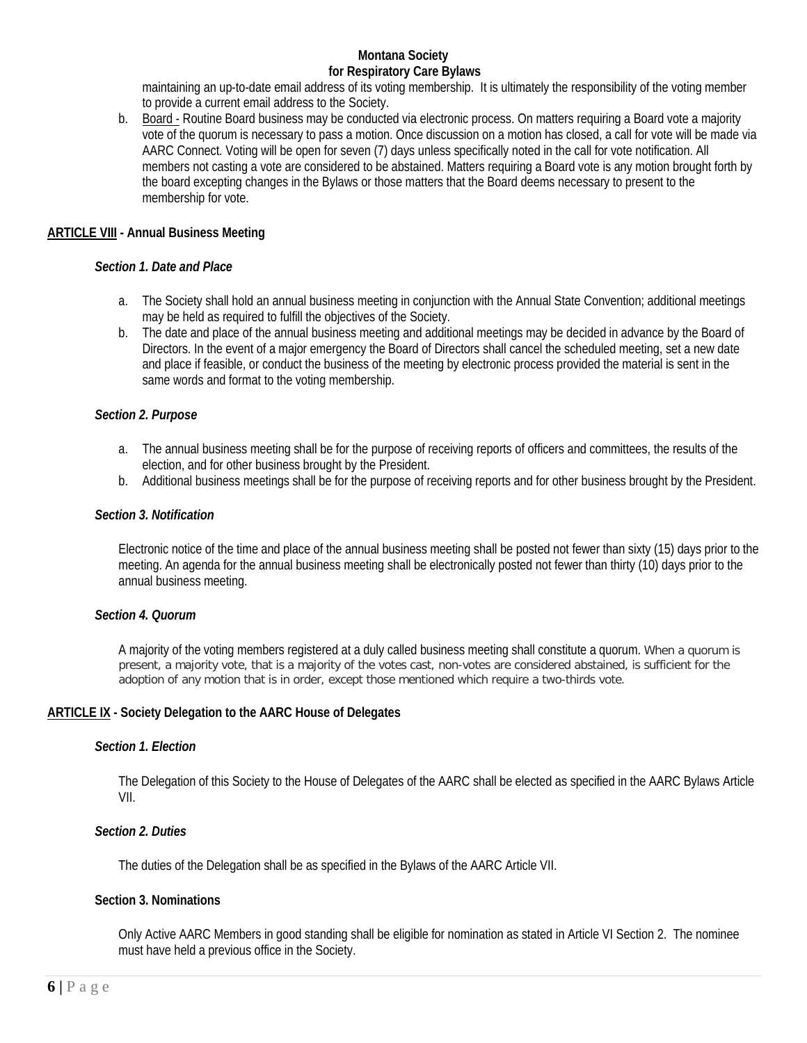maintaining an up-to-date email address of its voting membership. It is ultimately the responsibility of the voting member to provide a current email address to the Society.

b. Board - Routine Board business may be conducted via electronic process. On matters requiring a Board vote a majority vote of the quorum is necessary to pass a motion. Once discussion on a motion has closed, a call for vote will be made via AARC Connect. Voting will be open for seven (7) days unless specifically noted in the call for vote notification. All members not casting a vote are considered to be abstained. Matters requiring a Board vote is any motion brought forth by the board excepting changes in the Bylaws or those matters that the Board deems necessary to present to the membership for vote.

## **ARTICLE VIII - Annual Business Meeting**

#### *Section 1. Date and Place*

- a. The Society shall hold an annual business meeting in conjunction with the Annual State Convention; additional meetings may be held as required to fulfill the objectives of the Society.
- b. The date and place of the annual business meeting and additional meetings may be decided in advance by the Board of Directors. In the event of a major emergency the Board of Directors shall cancel the scheduled meeting, set a new date and place if feasible, or conduct the business of the meeting by electronic process provided the material is sent in the same words and format to the voting membership.

#### *Section 2. Purpose*

- a. The annual business meeting shall be for the purpose of receiving reports of officers and committees, the results of the election, and for other business brought by the President.
- b. Additional business meetings shall be for the purpose of receiving reports and for other business brought by the President.

#### *Section 3. Notification*

Electronic notice of the time and place of the annual business meeting shall be posted not fewer than sixty (15) days prior to the meeting. An agenda for the annual business meeting shall be electronically posted not fewer than thirty (10) days prior to the annual business meeting.

## *Section 4. Quorum*

A majority of the voting members registered at a duly called business meeting shall constitute a quorum. When a quorum is present, a majority vote, that is a majority of the votes cast, non-votes are considered abstained, is sufficient for the adoption of any motion that is in order, except those mentioned which require a two-thirds vote.

## **ARTICLE IX - Society Delegation to the AARC House of Delegates**

#### *Section 1. Election*

The Delegation of this Society to the House of Delegates of the AARC shall be elected as specified in the AARC Bylaws Article VII.

#### *Section 2. Duties*

The duties of the Delegation shall be as specified in the Bylaws of the AARC Article VII.

#### **Section 3. Nominations**

Only Active AARC Members in good standing shall be eligible for nomination as stated in Article VI Section 2. The nominee must have held a previous office in the Society.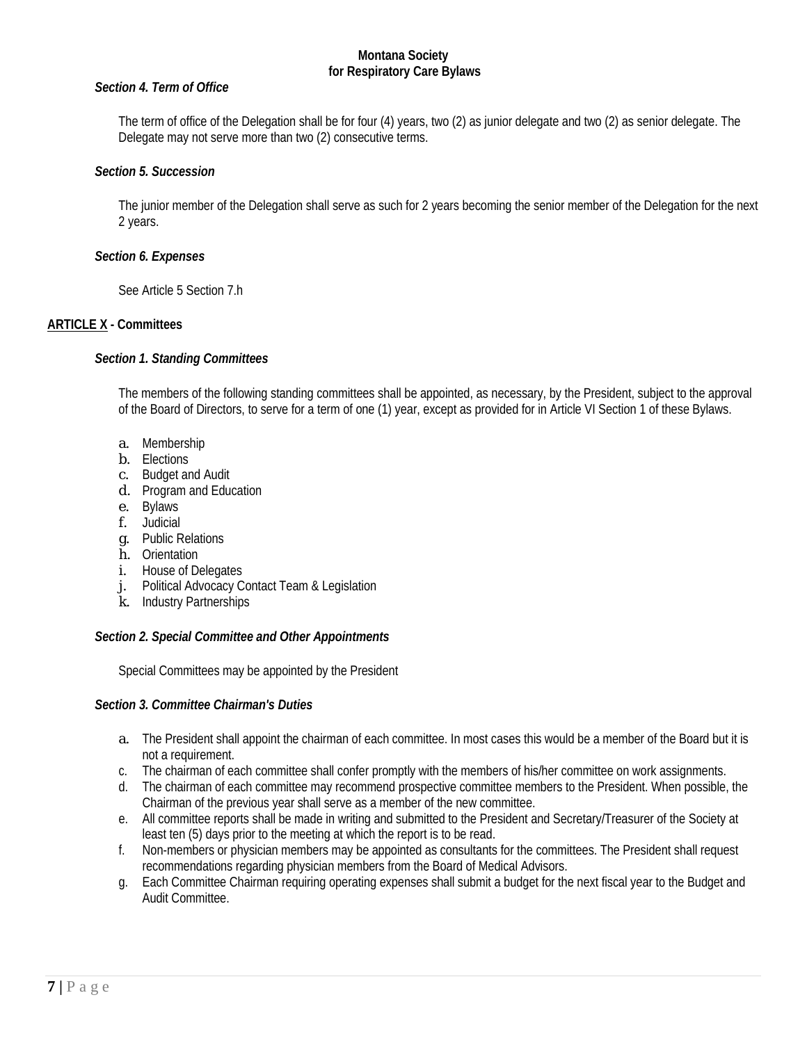#### *Section 4. Term of Office*

The term of office of the Delegation shall be for four (4) years, two (2) as junior delegate and two (2) as senior delegate. The Delegate may not serve more than two (2) consecutive terms.

#### *Section 5. Succession*

The junior member of the Delegation shall serve as such for 2 years becoming the senior member of the Delegation for the next 2 years.

#### *Section 6. Expenses*

See Article 5 Section 7.h

## **ARTICLE X - Committees**

#### *Section 1. Standing Committees*

The members of the following standing committees shall be appointed, as necessary, by the President, subject to the approval of the Board of Directors, to serve for a term of one (1) year, except as provided for in Article VI Section 1 of these Bylaws.

- a. Membership
- b. Elections
- c. Budget and Audit
- d. Program and Education
- e. Bylaws
- f. Judicial
- g. Public Relations
- h. Orientation
- i. House of Delegates
- j. Political Advocacy Contact Team & Legislation
- k. Industry Partnerships

## *Section 2. Special Committee and Other Appointments*

Special Committees may be appointed by the President

## *Section 3. Committee Chairman's Duties*

- a. The President shall appoint the chairman of each committee. In most cases this would be a member of the Board but it is not a requirement.
- c. The chairman of each committee shall confer promptly with the members of his/her committee on work assignments.
- d. The chairman of each committee may recommend prospective committee members to the President. When possible, the Chairman of the previous year shall serve as a member of the new committee.
- e. All committee reports shall be made in writing and submitted to the President and Secretary/Treasurer of the Society at least ten (5) days prior to the meeting at which the report is to be read.
- f. Non-members or physician members may be appointed as consultants for the committees. The President shall request recommendations regarding physician members from the Board of Medical Advisors.
- g. Each Committee Chairman requiring operating expenses shall submit a budget for the next fiscal year to the Budget and Audit Committee.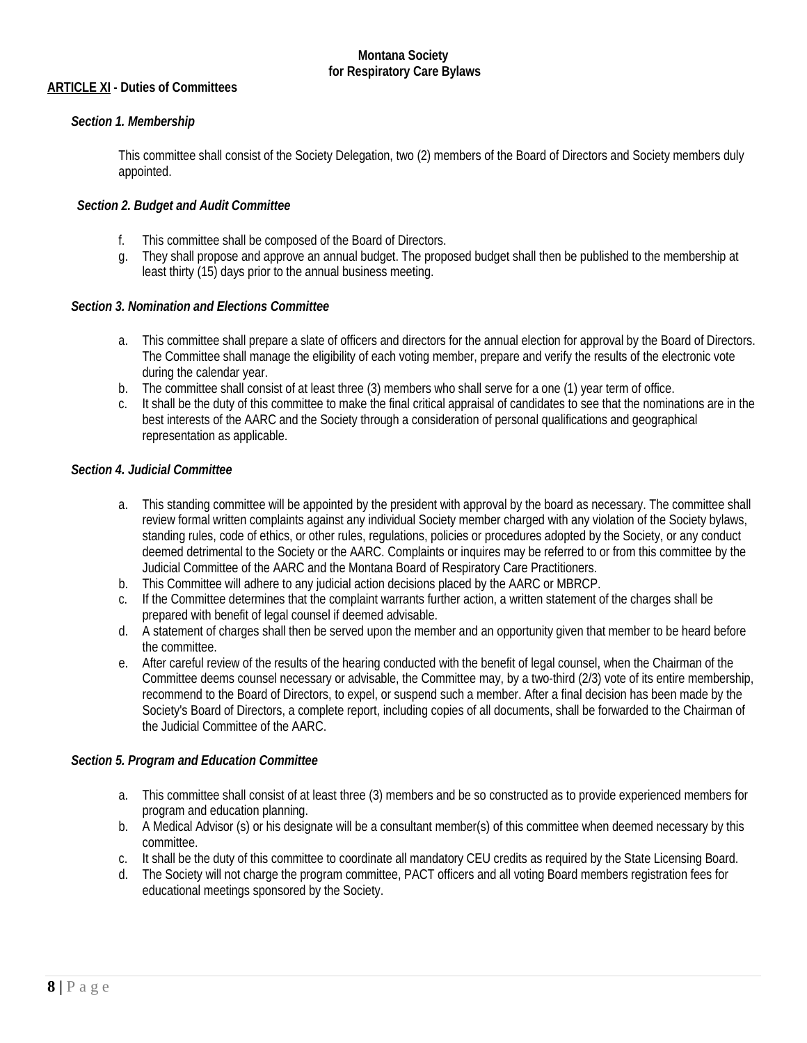## **ARTICLE XI - Duties of Committees**

## *Section 1. Membership*

This committee shall consist of the Society Delegation, two (2) members of the Board of Directors and Society members duly appointed.

## *Section 2. Budget and Audit Committee*

- f. This committee shall be composed of the Board of Directors.
- g. They shall propose and approve an annual budget. The proposed budget shall then be published to the membership at least thirty (15) days prior to the annual business meeting.

## *Section 3. Nomination and Elections Committee*

- a. This committee shall prepare a slate of officers and directors for the annual election for approval by the Board of Directors. The Committee shall manage the eligibility of each voting member, prepare and verify the results of the electronic vote during the calendar year.
- b. The committee shall consist of at least three (3) members who shall serve for a one (1) year term of office.
- c. It shall be the duty of this committee to make the final critical appraisal of candidates to see that the nominations are in the best interests of the AARC and the Society through a consideration of personal qualifications and geographical representation as applicable.

## *Section 4. Judicial Committee*

- a. This standing committee will be appointed by the president with approval by the board as necessary. The committee shall review formal written complaints against any individual Society member charged with any violation of the Society bylaws, standing rules, code of ethics, or other rules, regulations, policies or procedures adopted by the Society, or any conduct deemed detrimental to the Society or the AARC. Complaints or inquires may be referred to or from this committee by the Judicial Committee of the AARC and the Montana Board of Respiratory Care Practitioners.
- b. This Committee will adhere to any judicial action decisions placed by the AARC or MBRCP.
- c. If the Committee determines that the complaint warrants further action, a written statement of the charges shall be prepared with benefit of legal counsel if deemed advisable.
- d. A statement of charges shall then be served upon the member and an opportunity given that member to be heard before the committee.
- e. After careful review of the results of the hearing conducted with the benefit of legal counsel, when the Chairman of the Committee deems counsel necessary or advisable, the Committee may, by a two-third (2/3) vote of its entire membership, recommend to the Board of Directors, to expel, or suspend such a member. After a final decision has been made by the Society's Board of Directors, a complete report, including copies of all documents, shall be forwarded to the Chairman of the Judicial Committee of the AARC.

## *Section 5. Program and Education Committee*

- a. This committee shall consist of at least three (3) members and be so constructed as to provide experienced members for program and education planning.
- b. A Medical Advisor (s) or his designate will be a consultant member(s) of this committee when deemed necessary by this committee.
- c. It shall be the duty of this committee to coordinate all mandatory CEU credits as required by the State Licensing Board.
- d. The Society will not charge the program committee, PACT officers and all voting Board members registration fees for educational meetings sponsored by the Society.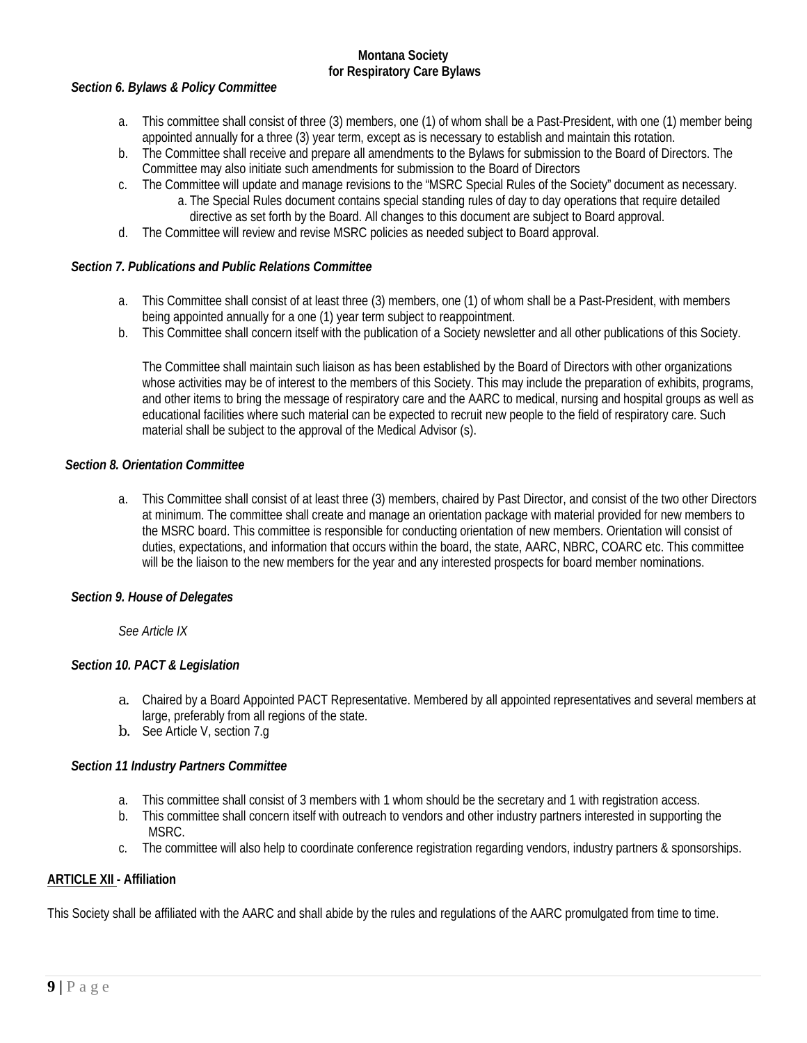## *Section 6. Bylaws & Policy Committee*

- a. This committee shall consist of three (3) members, one (1) of whom shall be a Past-President, with one (1) member being appointed annually for a three (3) year term, except as is necessary to establish and maintain this rotation.
- b. The Committee shall receive and prepare all amendments to the Bylaws for submission to the Board of Directors. The Committee may also initiate such amendments for submission to the Board of Directors
- c. The Committee will update and manage revisions to the "MSRC Special Rules of the Society" document as necessary. a. The Special Rules document contains special standing rules of day to day operations that require detailed
	- directive as set forth by the Board. All changes to this document are subject to Board approval.
- d. The Committee will review and revise MSRC policies as needed subject to Board approval.

## *Section 7. Publications and Public Relations Committee*

- a. This Committee shall consist of at least three (3) members, one (1) of whom shall be a Past-President, with members being appointed annually for a one (1) year term subject to reappointment.
- b. This Committee shall concern itself with the publication of a Society newsletter and all other publications of this Society.

The Committee shall maintain such liaison as has been established by the Board of Directors with other organizations whose activities may be of interest to the members of this Society. This may include the preparation of exhibits, programs, and other items to bring the message of respiratory care and the AARC to medical, nursing and hospital groups as well as educational facilities where such material can be expected to recruit new people to the field of respiratory care. Such material shall be subject to the approval of the Medical Advisor (s).

## *Section 8. Orientation Committee*

a. This Committee shall consist of at least three (3) members, chaired by Past Director, and consist of the two other Directors at minimum. The committee shall create and manage an orientation package with material provided for new members to the MSRC board. This committee is responsible for conducting orientation of new members. Orientation will consist of duties, expectations, and information that occurs within the board, the state, AARC, NBRC, COARC etc. This committee will be the liaison to the new members for the year and any interested prospects for board member nominations.

## *Section 9. House of Delegates*

*See Article IX*

# *Section 10. PACT & Legislation*

- a. Chaired by a Board Appointed PACT Representative. Membered by all appointed representatives and several members at large, preferably from all regions of the state.
- b. See Article V, section 7.g

# *Section 11 Industry Partners Committee*

- a. This committee shall consist of 3 members with 1 whom should be the secretary and 1 with registration access.
- b. This committee shall concern itself with outreach to vendors and other industry partners interested in supporting the MSRC.
- c. The committee will also help to coordinate conference registration regarding vendors, industry partners & sponsorships.

# **ARTICLE XII - Affiliation**

This Society shall be affiliated with the AARC and shall abide by the rules and regulations of the AARC promulgated from time to time.